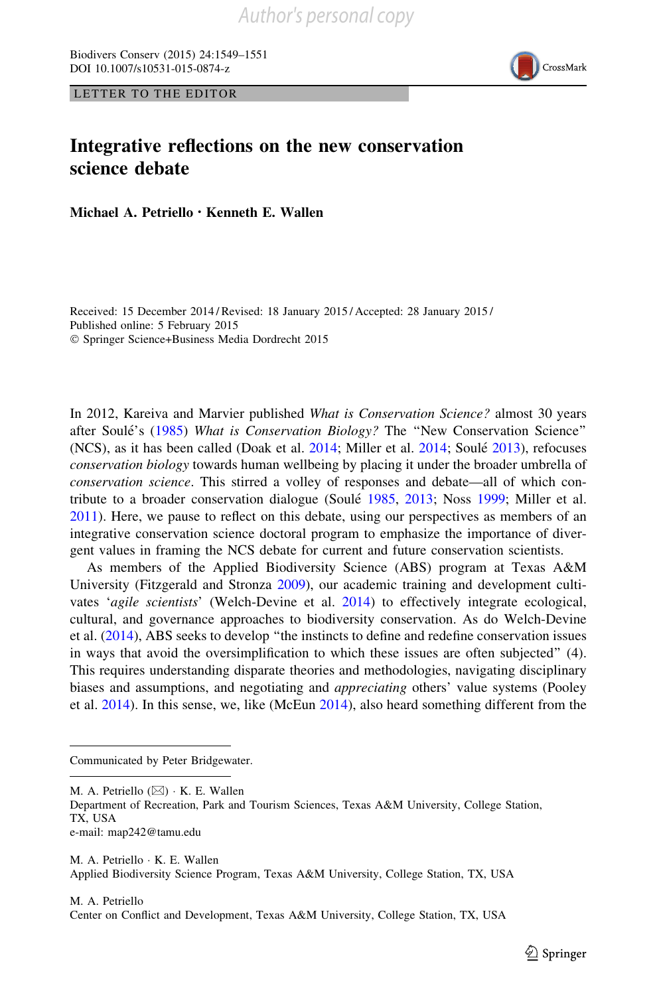Biodivers Conserv (2015) 24:1549–1551 DOI 10.1007/s10531-015-0874-z





## Integrative reflections on the new conservation science debate

Michael A. Petriello • Kenneth E. Wallen

Received: 15 December 2014 / Revised: 18 January 2015 / Accepted: 28 January 2015 / Published online: 5 February 2015 - Springer Science+Business Media Dordrecht 2015

In 2012, Kareiva and Marvier published What is Conservation Science? almost 30 years after Soulé's (1985) What is Conservation Biology? The "New Conservation Science" (NCS), as it has been called (Doak et al. 2014; Miller et al. 2014; Soulé 2013), refocuses conservation biology towards human wellbeing by placing it under the broader umbrella of conservation science. This stirred a volley of responses and debate—all of which contribute to a broader conservation dialogue (Soulé 1985, 2013; Noss 1999; Miller et al. 2011). Here, we pause to reflect on this debate, using our perspectives as members of an integrative conservation science doctoral program to emphasize the importance of divergent values in framing the NCS debate for current and future conservation scientists.

As members of the Applied Biodiversity Science (ABS) program at Texas A&M University (Fitzgerald and Stronza 2009), our academic training and development cultivates 'agile scientists' (Welch-Devine et al. 2014) to effectively integrate ecological, cultural, and governance approaches to biodiversity conservation. As do Welch-Devine et al. (2014), ABS seeks to develop ''the instincts to define and redefine conservation issues in ways that avoid the oversimplification to which these issues are often subjected'' (4). This requires understanding disparate theories and methodologies, navigating disciplinary biases and assumptions, and negotiating and *appreciating* others' value systems (Pooley et al. 2014). In this sense, we, like (McEun 2014), also heard something different from the

Communicated by Peter Bridgewater.

M. A. Petriello (⊠) · K. E. Wallen

Department of Recreation, Park and Tourism Sciences, Texas A&M University, College Station, TX, USA

e-mail: map242@tamu.edu

M. A. Petriello - K. E. Wallen Applied Biodiversity Science Program, Texas A&M University, College Station, TX, USA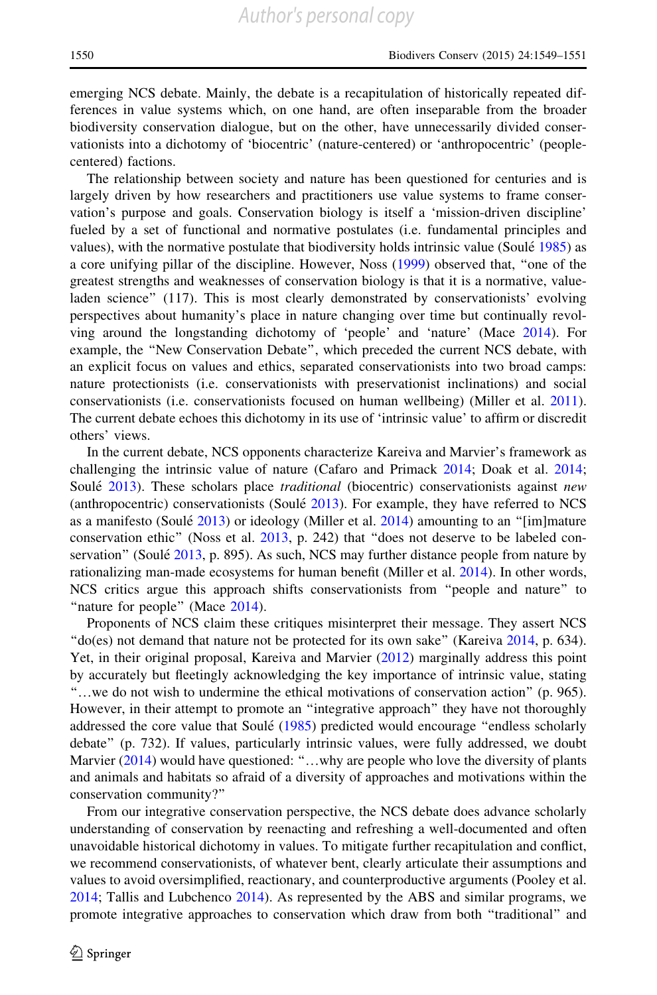emerging NCS debate. Mainly, the debate is a recapitulation of historically repeated differences in value systems which, on one hand, are often inseparable from the broader biodiversity conservation dialogue, but on the other, have unnecessarily divided conservationists into a dichotomy of 'biocentric' (nature-centered) or 'anthropocentric' (peoplecentered) factions.

The relationship between society and nature has been questioned for centuries and is largely driven by how researchers and practitioners use value systems to frame conservation's purpose and goals. Conservation biology is itself a 'mission-driven discipline' fueled by a set of functional and normative postulates (i.e. fundamental principles and values), with the normative postulate that biodiversity holds intrinsic value (Soulé 1985) as a core unifying pillar of the discipline. However, Noss (1999) observed that, ''one of the greatest strengths and weaknesses of conservation biology is that it is a normative, valueladen science'' (117). This is most clearly demonstrated by conservationists' evolving perspectives about humanity's place in nature changing over time but continually revolving around the longstanding dichotomy of 'people' and 'nature' (Mace 2014). For example, the ''New Conservation Debate'', which preceded the current NCS debate, with an explicit focus on values and ethics, separated conservationists into two broad camps: nature protectionists (i.e. conservationists with preservationist inclinations) and social conservationists (i.e. conservationists focused on human wellbeing) (Miller et al. 2011). The current debate echoes this dichotomy in its use of 'intrinsic value' to affirm or discredit others' views.

In the current debate, NCS opponents characterize Kareiva and Marvier's framework as challenging the intrinsic value of nature (Cafaro and Primack 2014; Doak et al. 2014; Soulé 2013). These scholars place *traditional* (biocentric) conservationists against *new* (anthropocentric) conservationists (Soulé 2013). For example, they have referred to NCS as a manifesto (Soulé  $2013$ ) or ideology (Miller et al.  $2014$ ) amounting to an "[im]mature conservation ethic'' (Noss et al. 2013, p. 242) that ''does not deserve to be labeled conservation" (Soulé 2013, p. 895). As such, NCS may further distance people from nature by rationalizing man-made ecosystems for human benefit (Miller et al. 2014). In other words, NCS critics argue this approach shifts conservationists from ''people and nature'' to "nature for people" (Mace 2014).

Proponents of NCS claim these critiques misinterpret their message. They assert NCS ''do(es) not demand that nature not be protected for its own sake'' (Kareiva 2014, p. 634). Yet, in their original proposal, Kareiva and Marvier (2012) marginally address this point by accurately but fleetingly acknowledging the key importance of intrinsic value, stating ''…we do not wish to undermine the ethical motivations of conservation action'' (p. 965). However, in their attempt to promote an ''integrative approach'' they have not thoroughly addressed the core value that Soulé (1985) predicted would encourage "endless scholarly debate'' (p. 732). If values, particularly intrinsic values, were fully addressed, we doubt Marvier (2014) would have questioned: "...why are people who love the diversity of plants and animals and habitats so afraid of a diversity of approaches and motivations within the conservation community?''

From our integrative conservation perspective, the NCS debate does advance scholarly understanding of conservation by reenacting and refreshing a well-documented and often unavoidable historical dichotomy in values. To mitigate further recapitulation and conflict, we recommend conservationists, of whatever bent, clearly articulate their assumptions and values to avoid oversimplified, reactionary, and counterproductive arguments (Pooley et al. 2014; Tallis and Lubchenco 2014). As represented by the ABS and similar programs, we promote integrative approaches to conservation which draw from both ''traditional'' and